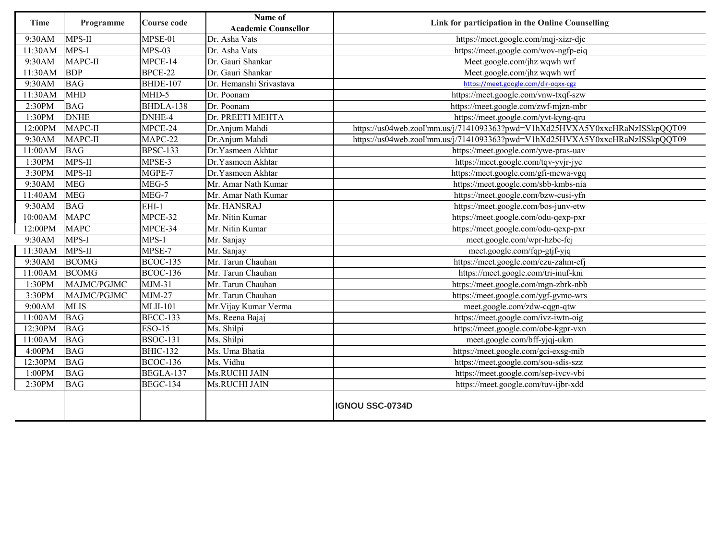| <b>Time</b> | Programme    | <b>Course code</b> | Name of<br><b>Academic Counsellor</b> | Link for participation in the Online Counselling                             |  |  |  |
|-------------|--------------|--------------------|---------------------------------------|------------------------------------------------------------------------------|--|--|--|
| 9:30AM      | MPS-II       | MPSE-01            | Dr. Asha Vats                         | https://meet.google.com/mqj-xizr-djc                                         |  |  |  |
| 11:30AM     | MPS-I        | $MPS-03$           | Dr. Asha Vats                         | https://meet.google.com/wov-ngfp-eiq                                         |  |  |  |
| 9:30AM      | MAPC-II      | MPCE-14            | Dr. Gauri Shankar                     | Meet.google.com/jhz wqwh wrf                                                 |  |  |  |
| 11:30AM     | <b>BDP</b>   | BPCE-22            | Dr. Gauri Shankar                     | Meet.google.com/jhz wqwh wrf                                                 |  |  |  |
| 9:30AM      | <b>BAG</b>   | BHDE-107           | Dr. Hemanshi Srivastava               | https://meet.google.com/dir-oqxx-cgz                                         |  |  |  |
| 11:30AM     | <b>MHD</b>   | MHD-5              | Dr. Poonam                            | https://meet.google.com/vnw-txqf-szw                                         |  |  |  |
| 2:30PM      | <b>BAG</b>   | BHDLA-138          | Dr. Poonam                            | https://meet.google.com/zwf-mjzn-mbr                                         |  |  |  |
| 1:30PM      | <b>DNHE</b>  | DNHE-4             | Dr. PREETI MEHTA                      | https://meet.google.com/yvt-kyng-qru                                         |  |  |  |
| 12:00PM     | MAPC-II      | MPCE-24            | Dr.Anjum Mahdi                        | https://us04web.zooI'mm.us/j/7141093363?pwd=V1hXd25HVXA5Y0xxcHRaNzISSkpQQT09 |  |  |  |
| 9:30AM      | MAPC-II      | MAPC-22            | Dr.Anjum Mahdi                        | https://us04web.zooI'mm.us/j/7141093363?pwd=V1hXd25HVXA5Y0xxcHRaNzISSkpQQT09 |  |  |  |
| 11:00AM     | <b>BAG</b>   | <b>BPSC-133</b>    | Dr.Yasmeen Akhtar                     | https://meet.google.com/ywe-pras-uav                                         |  |  |  |
| 1:30PM      | MPS-II       | MPSE-3             | Dr.Yasmeen Akhtar                     | https://meet.google.com/tqv-yvjr-jyc                                         |  |  |  |
| 3:30PM      | MPS-II       | MGPE-7             | Dr.Yasmeen Akhtar                     | https://meet.google.com/gfi-mewa-vgq                                         |  |  |  |
| 9:30AM      | <b>MEG</b>   | $MEG-5$            | Mr. Amar Nath Kumar                   | https://meet.google.com/sbb-kmbs-nia                                         |  |  |  |
| 11:40AM     | <b>MEG</b>   | MEG-7              | Mr. Amar Nath Kumar                   | https://meet.google.com/bzw-cusi-yfn                                         |  |  |  |
| 9:30AM      | <b>BAG</b>   | $EHI-1$            | Mr. HANSRAJ                           | https://meet.google.com/bos-junv-etw                                         |  |  |  |
| 10:00AM     | <b>MAPC</b>  | MPCE-32            | Mr. Nitin Kumar                       | https://meet.google.com/odu-qexp-pxr                                         |  |  |  |
| 12:00PM     | <b>MAPC</b>  | MPCE-34            | Mr. Nitin Kumar                       | https://meet.google.com/odu-qexp-pxr                                         |  |  |  |
| 9:30AM      | MPS-I        | MPS-1              | Mr. Sanjay                            | meet.google.com/wpr-hzbc-fcj                                                 |  |  |  |
| 11:30AM     | MPS-II       | MPSE-7             | Mr. Sanjay                            | meet.google.com/fqp-gtjf-yjq                                                 |  |  |  |
| 9:30AM      | <b>BCOMG</b> | <b>BCOC-135</b>    | Mr. Tarun Chauhan                     | https://meet.google.com/ezu-zahm-efj                                         |  |  |  |
| 11:00AM     | <b>BCOMG</b> | <b>BCOC-136</b>    | Mr. Tarun Chauhan                     | https://meet.google.com/tri-inuf-kni                                         |  |  |  |
| 1:30PM      | MAJMC/PGJMC  | $MJM-31$           | Mr. Tarun Chauhan                     | https://meet.google.com/mgn-zbrk-nbb                                         |  |  |  |
| 3:30PM      | MAJMC/PGJMC  | $MJM-27$           | Mr. Tarun Chauhan                     | https://meet.google.com/ygf-gvmo-wrs                                         |  |  |  |
| 9:00AM      | <b>MLIS</b>  | <b>MLII-101</b>    | Mr. Vijay Kumar Verma                 | meet.google.com/zdw-cqgn-qtw                                                 |  |  |  |
| 11:00AM     | <b>BAG</b>   | <b>BECC-133</b>    | Ms. Reena Bajaj                       | https://meet.google.com/ivz-iwtn-oig                                         |  |  |  |
| 12:30PM     | <b>BAG</b>   | <b>ESO-15</b>      | Ms. Shilpi                            | https://meet.google.com/obe-kgpr-vxn                                         |  |  |  |
| 11:00AM     | <b>BAG</b>   | <b>BSOC-131</b>    | Ms. Shilpi                            | meet.google.com/bff-yjqj-ukm                                                 |  |  |  |
| 4:00PM      | <b>BAG</b>   | <b>BHIC-132</b>    | Ms. Uma Bhatia                        | https://meet.google.com/gci-exsg-mib                                         |  |  |  |
| 12:30PM     | <b>BAG</b>   | <b>BCOC-136</b>    | Ms. Vidhu                             | https://meet.google.com/sou-sdis-szz                                         |  |  |  |
| 1:00PM      | <b>BAG</b>   | BEGLA-137          | Ms.RUCHI JAIN                         | https://meet.google.com/sep-ivcv-vbi                                         |  |  |  |
| 2:30PM      | <b>BAG</b>   | BEGC-134           | Ms.RUCHI JAIN                         | https://meet.google.com/tuv-ijbr-xdd                                         |  |  |  |
|             |              |                    |                                       | <b>IGNOU SSC-0734D</b>                                                       |  |  |  |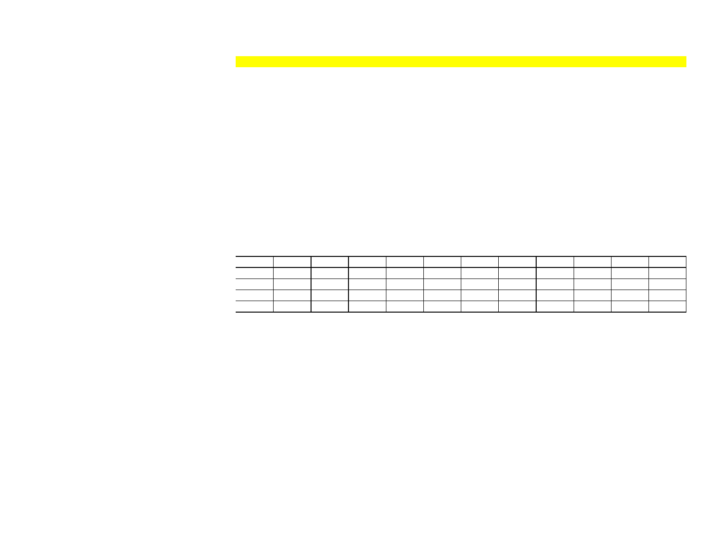| <u> 1989 - Johann Stoff, deutscher Stoffen und der Stoffen und der Stoffen und der Stoffen und der Stoffen und der</u> |  |  |  |  |  |  |
|------------------------------------------------------------------------------------------------------------------------|--|--|--|--|--|--|
|                                                                                                                        |  |  |  |  |  |  |
|                                                                                                                        |  |  |  |  |  |  |
|                                                                                                                        |  |  |  |  |  |  |
|                                                                                                                        |  |  |  |  |  |  |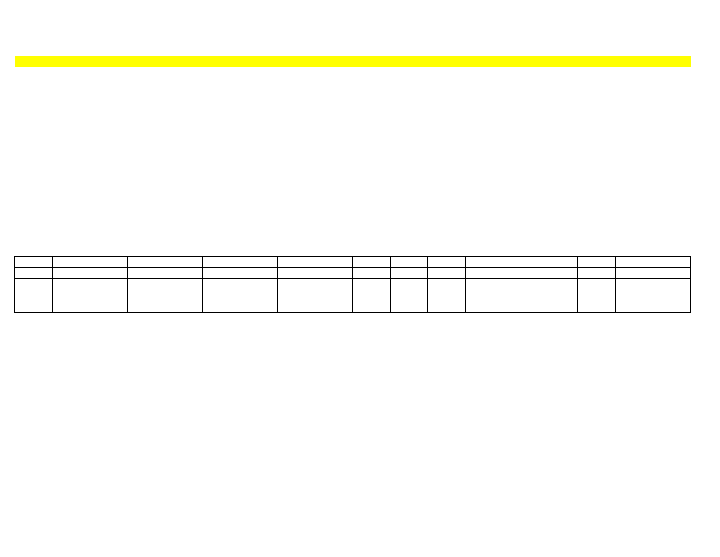|  |  |  | ,我们也不会有什么。""我们,我们也不会有什么?""我们,我们也不会有什么?""我们,我们也不会有什么?""我们,我们也不会有什么?""我们,我们也不会有什么? |  |  |  |  |  |
|--|--|--|----------------------------------------------------------------------------------|--|--|--|--|--|
|  |  |  |                                                                                  |  |  |  |  |  |
|  |  |  |                                                                                  |  |  |  |  |  |
|  |  |  |                                                                                  |  |  |  |  |  |